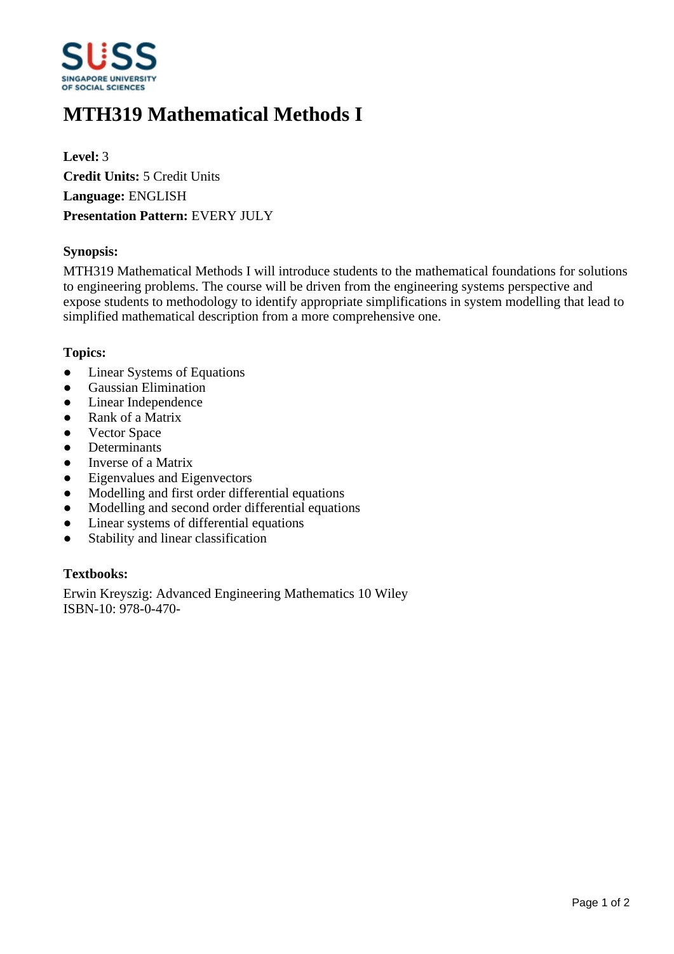

# **MTH319 Mathematical Methods I**

**Level:** 3 **Credit Units:** 5 Credit Units **Language:** ENGLISH **Presentation Pattern:** EVERY JULY

#### **Synopsis:**

MTH319 Mathematical Methods I will introduce students to the mathematical foundations for solutions to engineering problems. The course will be driven from the engineering systems perspective and expose students to methodology to identify appropriate simplifications in system modelling that lead to simplified mathematical description from a more comprehensive one.

#### **Topics:**

- Linear Systems of Equations
- **•** Gaussian Elimination
- Linear Independence
- Rank of a Matrix
- Vector Space
- Determinants
- Inverse of a Matrix
- Eigenvalues and Eigenvectors
- Modelling and first order differential equations
- Modelling and second order differential equations
- Linear systems of differential equations
- Stability and linear classification

#### **Textbooks:**

Erwin Kreyszig: Advanced Engineering Mathematics 10 Wiley ISBN-10: 978-0-470-